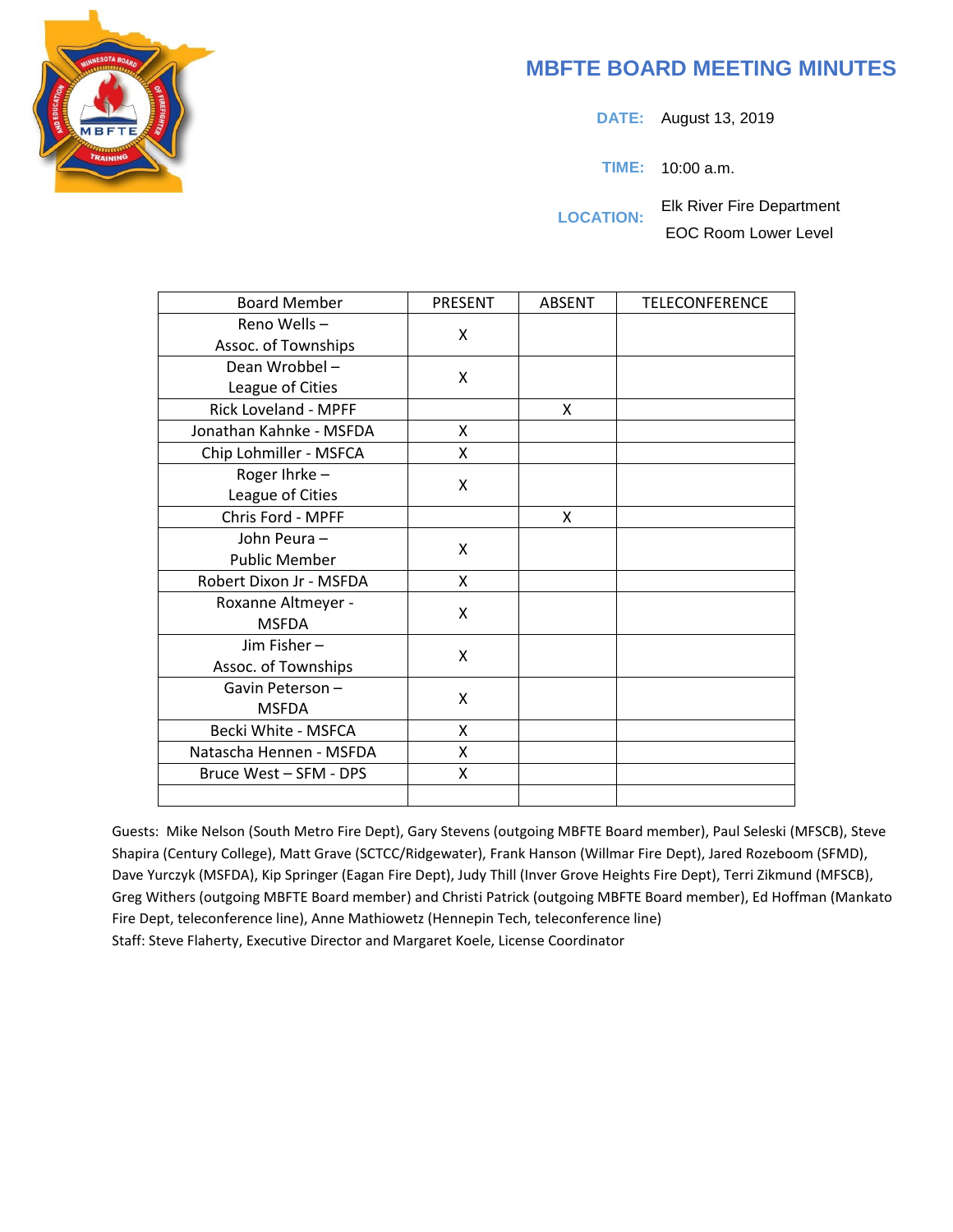# **MBFTE BOARD MEETING MINUTES**

**DATE:** August 13, 2019

**TIME:** 10:00 a.m.

**LOCATION:** Elk River Fire Department EOC Room Lower Level

| <b>Board Member</b>     | <b>PRESENT</b> | <b>ABSENT</b> | <b>TELECONFERENCE</b> |
|-------------------------|----------------|---------------|-----------------------|
| Reno Wells-             | X              |               |                       |
| Assoc. of Townships     |                |               |                       |
| Dean Wrobbel-           | X              |               |                       |
| League of Cities        |                |               |                       |
| Rick Loveland - MPFF    |                | X             |                       |
| Jonathan Kahnke - MSFDA | X              |               |                       |
| Chip Lohmiller - MSFCA  | X              |               |                       |
| Roger Ihrke-            | X              |               |                       |
| League of Cities        |                |               |                       |
| Chris Ford - MPFF       |                | X             |                       |
| John Peura-             | X              |               |                       |
| <b>Public Member</b>    |                |               |                       |
| Robert Dixon Jr - MSFDA | X              |               |                       |
| Roxanne Altmeyer -      | X              |               |                       |
| <b>MSFDA</b>            |                |               |                       |
| Jim Fisher-             | X              |               |                       |
| Assoc. of Townships     |                |               |                       |
| Gavin Peterson-         | X              |               |                       |
| <b>MSFDA</b>            |                |               |                       |
| Becki White - MSFCA     | X              |               |                       |
| Natascha Hennen - MSFDA | X              |               |                       |
| Bruce West - SFM - DPS  | X              |               |                       |
|                         |                |               |                       |

Guests: Mike Nelson (South Metro Fire Dept), Gary Stevens (outgoing MBFTE Board member), Paul Seleski (MFSCB), Steve Shapira (Century College), Matt Grave (SCTCC/Ridgewater), Frank Hanson (Willmar Fire Dept), Jared Rozeboom (SFMD), Dave Yurczyk (MSFDA), Kip Springer (Eagan Fire Dept), Judy Thill (Inver Grove Heights Fire Dept), Terri Zikmund (MFSCB), Greg Withers (outgoing MBFTE Board member) and Christi Patrick (outgoing MBFTE Board member), Ed Hoffman (Mankato Fire Dept, teleconference line), Anne Mathiowetz (Hennepin Tech, teleconference line) Staff: Steve Flaherty, Executive Director and Margaret Koele, License Coordinator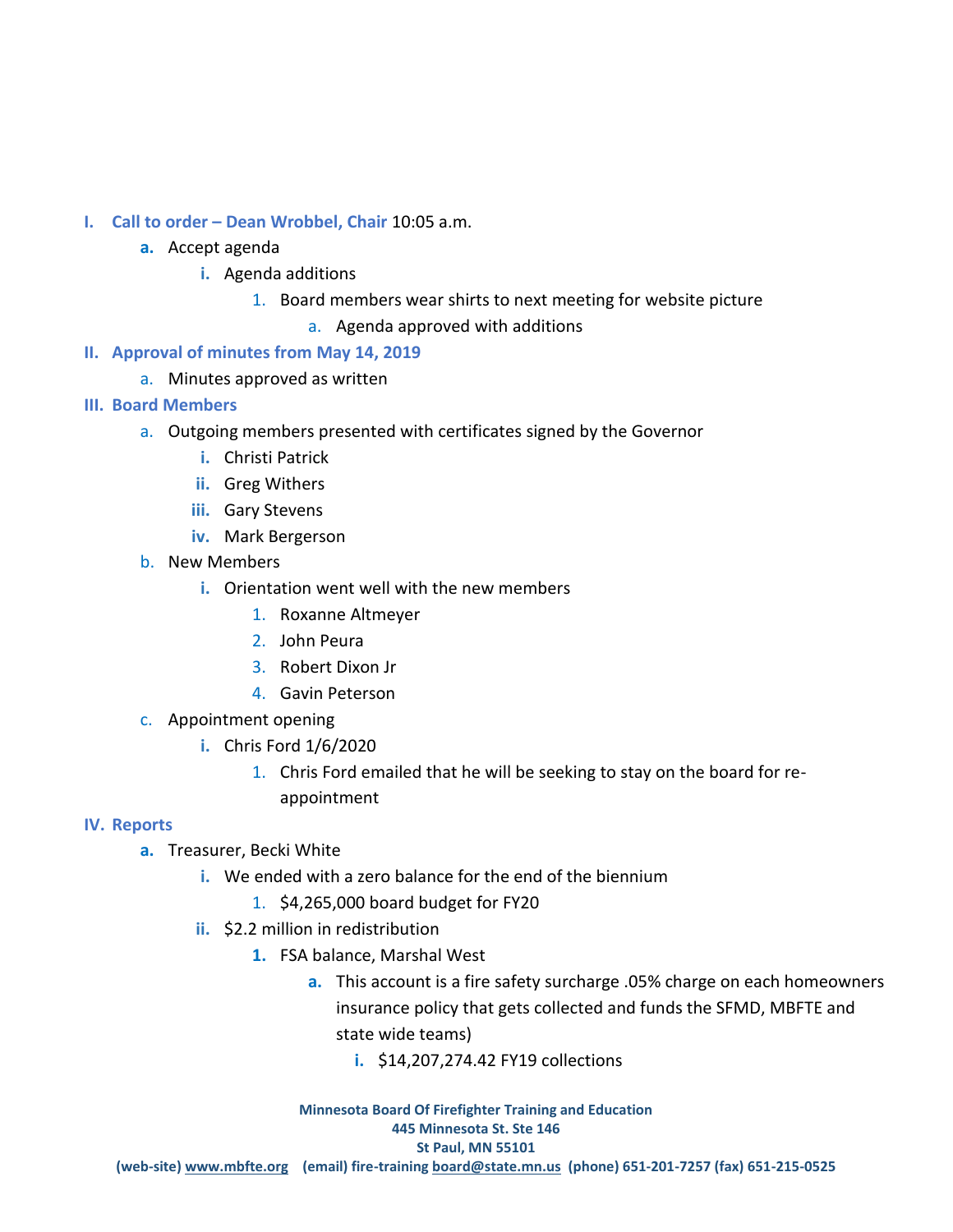- **I. Call to order – Dean Wrobbel, Chair** 10:05 a.m.
	- **a.** Accept agenda
		- **i.** Agenda additions
			- 1. Board members wear shirts to next meeting for website picture
				- a. Agenda approved with additions
- **II. Approval of minutes from May 14, 2019** 
	- a. Minutes approved as written
- **III. Board Members**
	- a. Outgoing members presented with certificates signed by the Governor
		- **i.** Christi Patrick
		- **ii.** Greg Withers
		- **iii.** Gary Stevens
		- **iv.** Mark Bergerson
	- b. New Members
		- **i.** Orientation went well with the new members
			- 1. Roxanne Altmeyer
			- 2. John Peura
			- 3. Robert Dixon Jr
			- 4. Gavin Peterson
	- c. Appointment opening
		- **i.** Chris Ford 1/6/2020
			- 1. Chris Ford emailed that he will be seeking to stay on the board for reappointment

#### **IV. Reports**

- **a.** Treasurer, Becki White
	- **i.** We ended with a zero balance for the end of the biennium
		- 1. \$4,265,000 board budget for FY20
	- **ii.** \$2.2 million in redistribution
		- **1.** FSA balance, Marshal West
			- **a.** This account is a fire safety surcharge .05% charge on each homeowners insurance policy that gets collected and funds the SFMD, MBFTE and state wide teams)
				- **i.** \$14,207,274.42 FY19 collections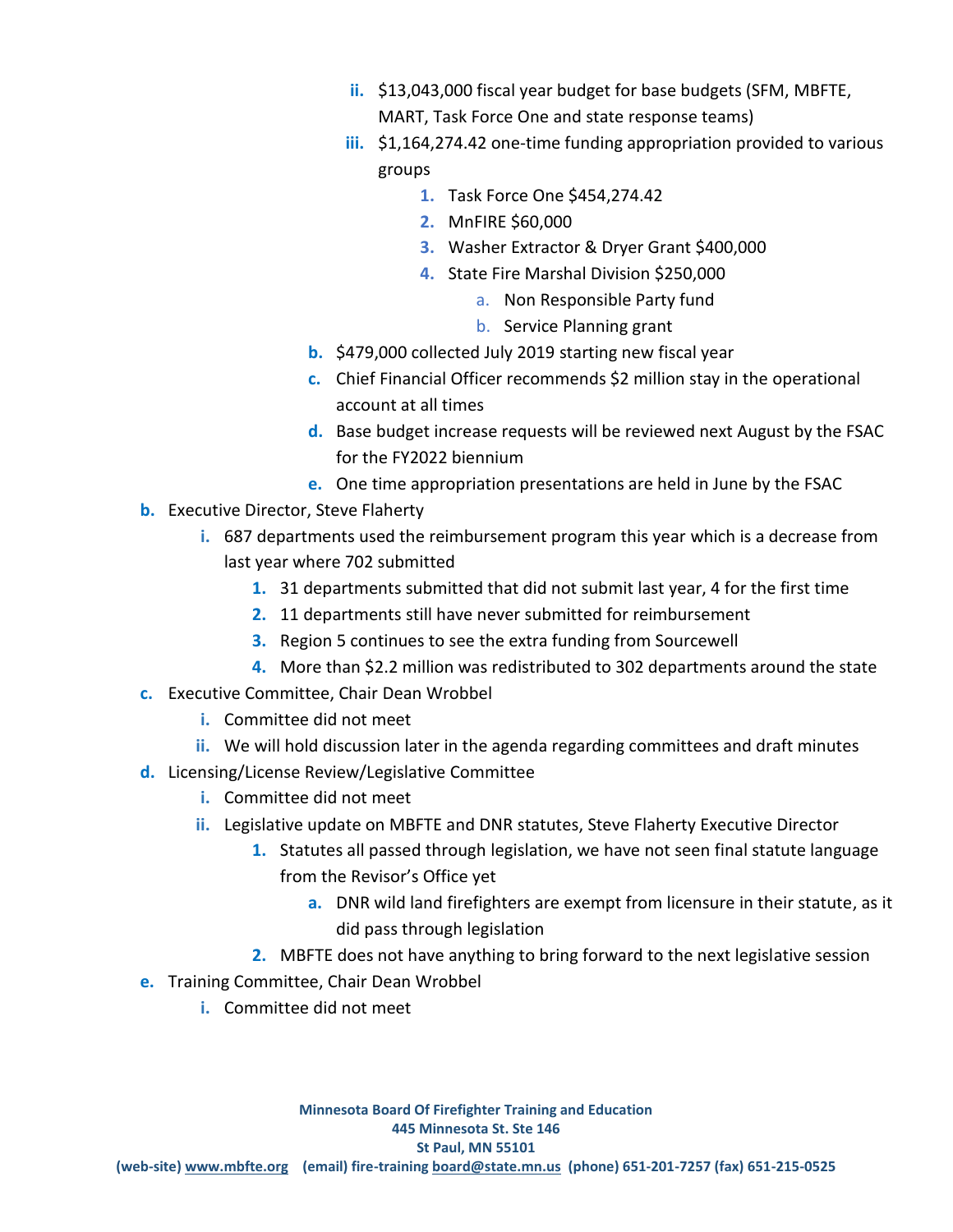- **ii.** \$13,043,000 fiscal year budget for base budgets (SFM, MBFTE, MART, Task Force One and state response teams)
- **iii.** \$1,164,274.42 one-time funding appropriation provided to various groups
	- **1.** Task Force One \$454,274.42
	- **2.** MnFIRE \$60,000
	- **3.** Washer Extractor & Dryer Grant \$400,000
	- **4.** State Fire Marshal Division \$250,000
		- a. Non Responsible Party fund
		- b. Service Planning grant
- **b.** \$479,000 collected July 2019 starting new fiscal year
- **c.** Chief Financial Officer recommends \$2 million stay in the operational account at all times
- **d.** Base budget increase requests will be reviewed next August by the FSAC for the FY2022 biennium
- **e.** One time appropriation presentations are held in June by the FSAC
- **b.** Executive Director, Steve Flaherty
	- **i.** 687 departments used the reimbursement program this year which is a decrease from last year where 702 submitted
		- **1.** 31 departments submitted that did not submit last year, 4 for the first time
		- **2.** 11 departments still have never submitted for reimbursement
		- **3.** Region 5 continues to see the extra funding from Sourcewell
		- **4.** More than \$2.2 million was redistributed to 302 departments around the state
- **c.** Executive Committee, Chair Dean Wrobbel
	- **i.** Committee did not meet
	- **ii.** We will hold discussion later in the agenda regarding committees and draft minutes
- **d.** Licensing/License Review/Legislative Committee
	- **i.** Committee did not meet
	- **ii.** Legislative update on MBFTE and DNR statutes, Steve Flaherty Executive Director
		- **1.** Statutes all passed through legislation, we have not seen final statute language from the Revisor's Office yet
			- **a.** DNR wild land firefighters are exempt from licensure in their statute, as it did pass through legislation
		- **2.** MBFTE does not have anything to bring forward to the next legislative session
- **e.** Training Committee, Chair Dean Wrobbel
	- **i.** Committee did not meet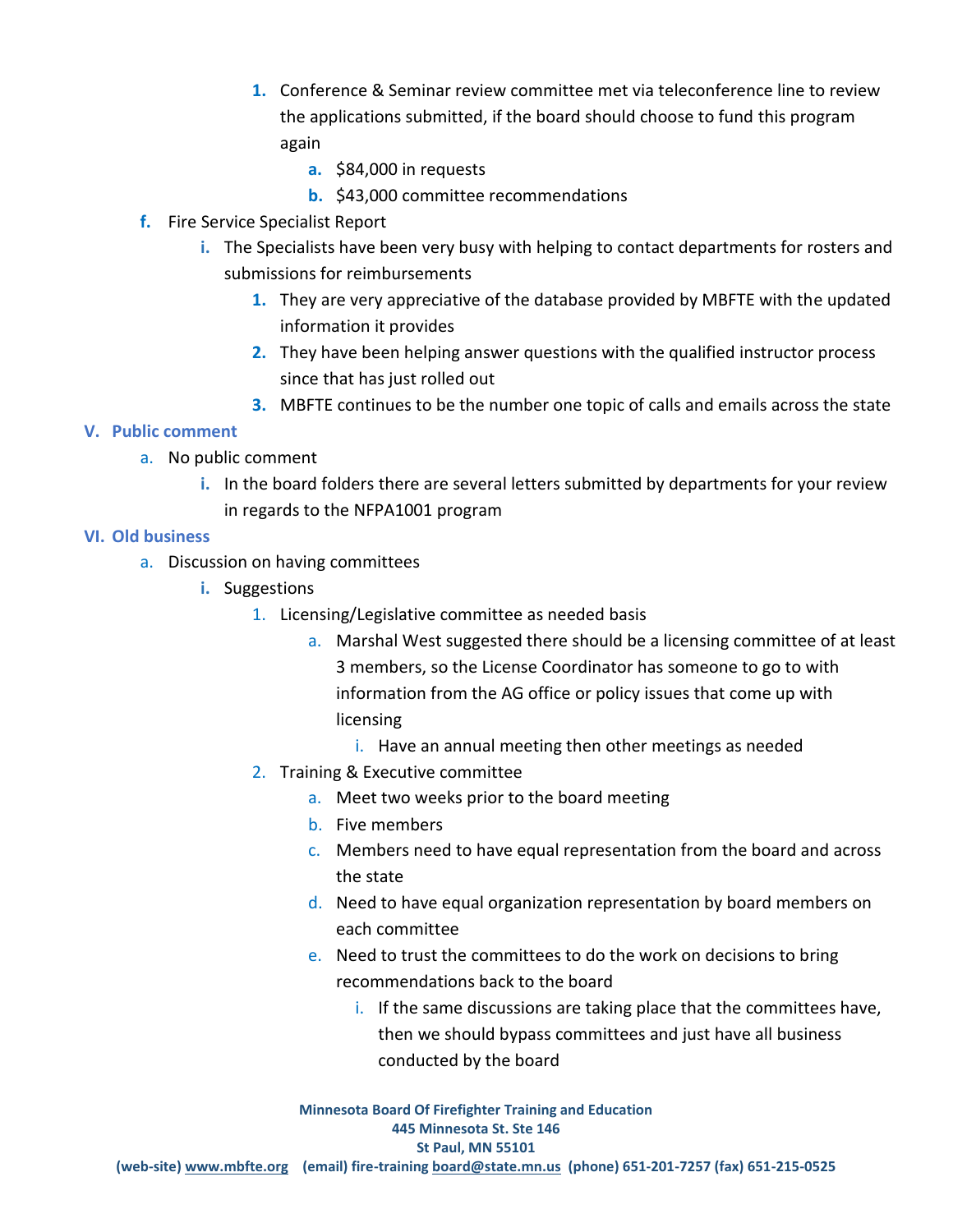- **1.** Conference & Seminar review committee met via teleconference line to review the applications submitted, if the board should choose to fund this program again
	- **a.** \$84,000 in requests
	- **b.** \$43,000 committee recommendations
- **f.** Fire Service Specialist Report
	- **i.** The Specialists have been very busy with helping to contact departments for rosters and submissions for reimbursements
		- **1.** They are very appreciative of the database provided by MBFTE with the updated information it provides
		- **2.** They have been helping answer questions with the qualified instructor process since that has just rolled out
		- **3.** MBFTE continues to be the number one topic of calls and emails across the state

### **V. Public comment**

- a. No public comment
	- **i.** In the board folders there are several letters submitted by departments for your review in regards to the NFPA1001 program

### **VI. Old business**

- a. Discussion on having committees
	- **i.** Suggestions
		- 1. Licensing/Legislative committee as needed basis
			- a. Marshal West suggested there should be a licensing committee of at least 3 members, so the License Coordinator has someone to go to with information from the AG office or policy issues that come up with licensing
				- i. Have an annual meeting then other meetings as needed
		- 2. Training & Executive committee
			- a. Meet two weeks prior to the board meeting
			- b. Five members
			- c. Members need to have equal representation from the board and across the state
			- d. Need to have equal organization representation by board members on each committee
			- e. Need to trust the committees to do the work on decisions to bring recommendations back to the board
				- i. If the same discussions are taking place that the committees have, then we should bypass committees and just have all business conducted by the board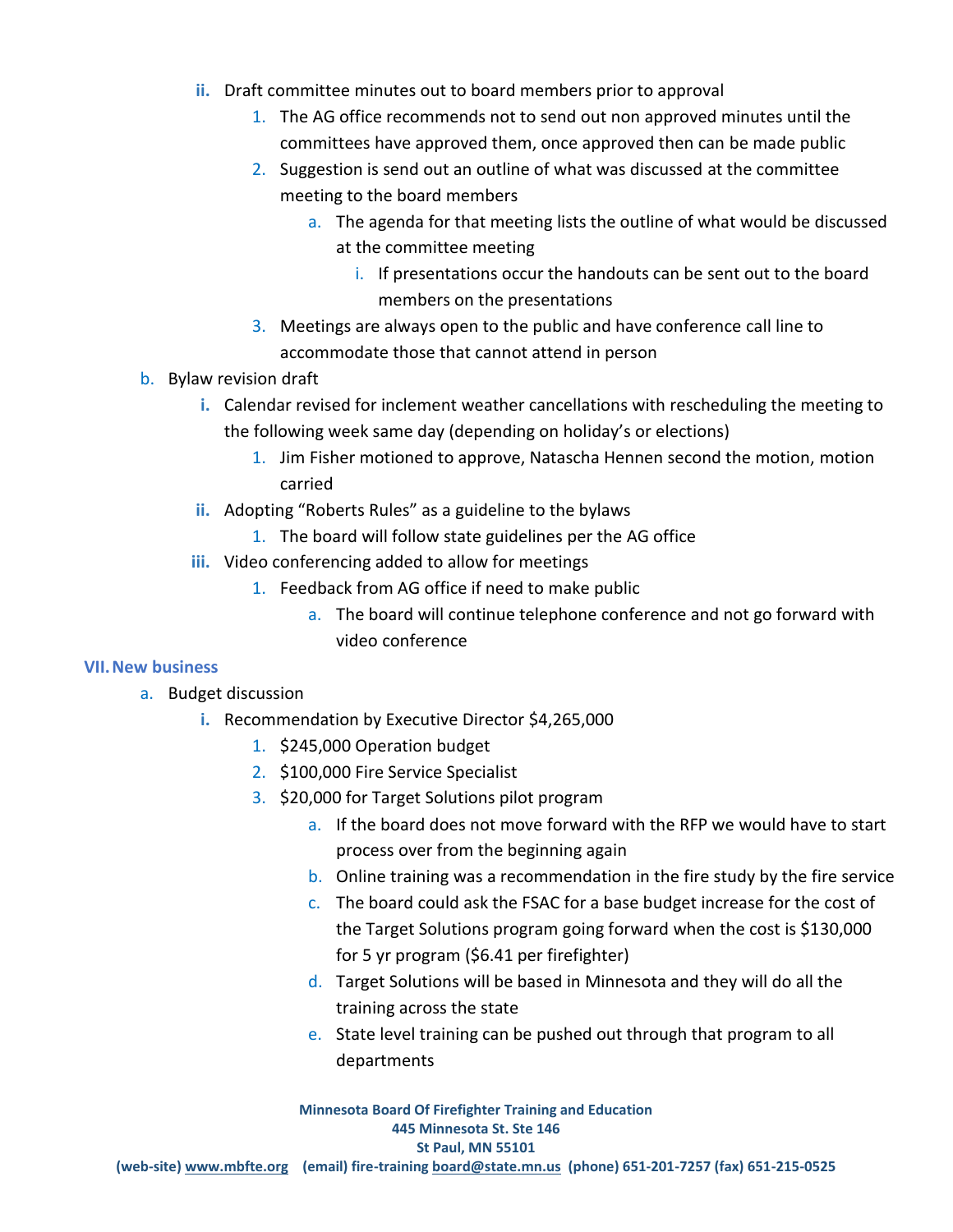- **ii.** Draft committee minutes out to board members prior to approval
	- 1. The AG office recommends not to send out non approved minutes until the committees have approved them, once approved then can be made public
	- 2. Suggestion is send out an outline of what was discussed at the committee meeting to the board members
		- a. The agenda for that meeting lists the outline of what would be discussed at the committee meeting
			- i. If presentations occur the handouts can be sent out to the board members on the presentations
	- 3. Meetings are always open to the public and have conference call line to accommodate those that cannot attend in person
- b. Bylaw revision draft
	- **i.** Calendar revised for inclement weather cancellations with rescheduling the meeting to the following week same day (depending on holiday's or elections)
		- 1. Jim Fisher motioned to approve, Natascha Hennen second the motion, motion carried
	- **ii.** Adopting "Roberts Rules" as a guideline to the bylaws
		- 1. The board will follow state guidelines per the AG office
	- **iii.** Video conferencing added to allow for meetings
		- 1. Feedback from AG office if need to make public
			- a. The board will continue telephone conference and not go forward with video conference

### **VII.New business**

- a. Budget discussion
	- **i.** Recommendation by Executive Director \$4,265,000
		- 1. \$245,000 Operation budget
		- 2. \$100,000 Fire Service Specialist
		- 3. \$20,000 for Target Solutions pilot program
			- a. If the board does not move forward with the RFP we would have to start process over from the beginning again
			- b. Online training was a recommendation in the fire study by the fire service
			- c. The board could ask the FSAC for a base budget increase for the cost of the Target Solutions program going forward when the cost is \$130,000 for 5 yr program (\$6.41 per firefighter)
			- d. Target Solutions will be based in Minnesota and they will do all the training across the state
			- e. State level training can be pushed out through that program to all departments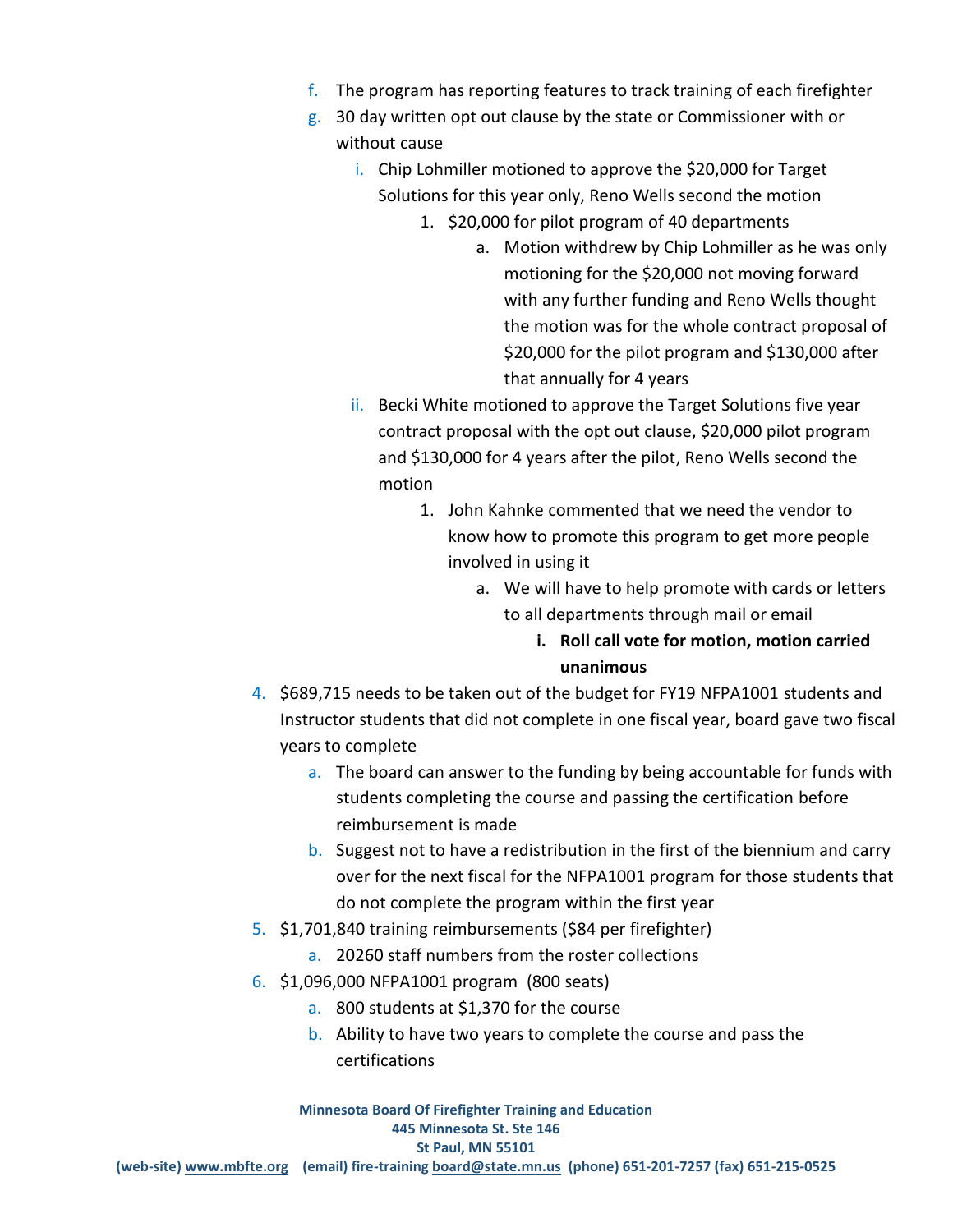- f. The program has reporting features to track training of each firefighter
- g. 30 day written opt out clause by the state or Commissioner with or without cause
	- i. Chip Lohmiller motioned to approve the \$20,000 for Target Solutions for this year only, Reno Wells second the motion
		- 1. \$20,000 for pilot program of 40 departments
			- a. Motion withdrew by Chip Lohmiller as he was only motioning for the \$20,000 not moving forward with any further funding and Reno Wells thought the motion was for the whole contract proposal of \$20,000 for the pilot program and \$130,000 after that annually for 4 years
	- ii. Becki White motioned to approve the Target Solutions five year contract proposal with the opt out clause, \$20,000 pilot program and \$130,000 for 4 years after the pilot, Reno Wells second the motion
		- 1. John Kahnke commented that we need the vendor to know how to promote this program to get more people involved in using it
			- a. We will have to help promote with cards or letters to all departments through mail or email

## **i. Roll call vote for motion, motion carried unanimous**

- 4. \$689,715 needs to be taken out of the budget for FY19 NFPA1001 students and Instructor students that did not complete in one fiscal year, board gave two fiscal years to complete
	- a. The board can answer to the funding by being accountable for funds with students completing the course and passing the certification before reimbursement is made
	- b. Suggest not to have a redistribution in the first of the biennium and carry over for the next fiscal for the NFPA1001 program for those students that do not complete the program within the first year
- 5. \$1,701,840 training reimbursements (\$84 per firefighter)
	- a. 20260 staff numbers from the roster collections
- 6. \$1,096,000 NFPA1001 program (800 seats)
	- a. 800 students at \$1,370 for the course
	- b. Ability to have two years to complete the course and pass the certifications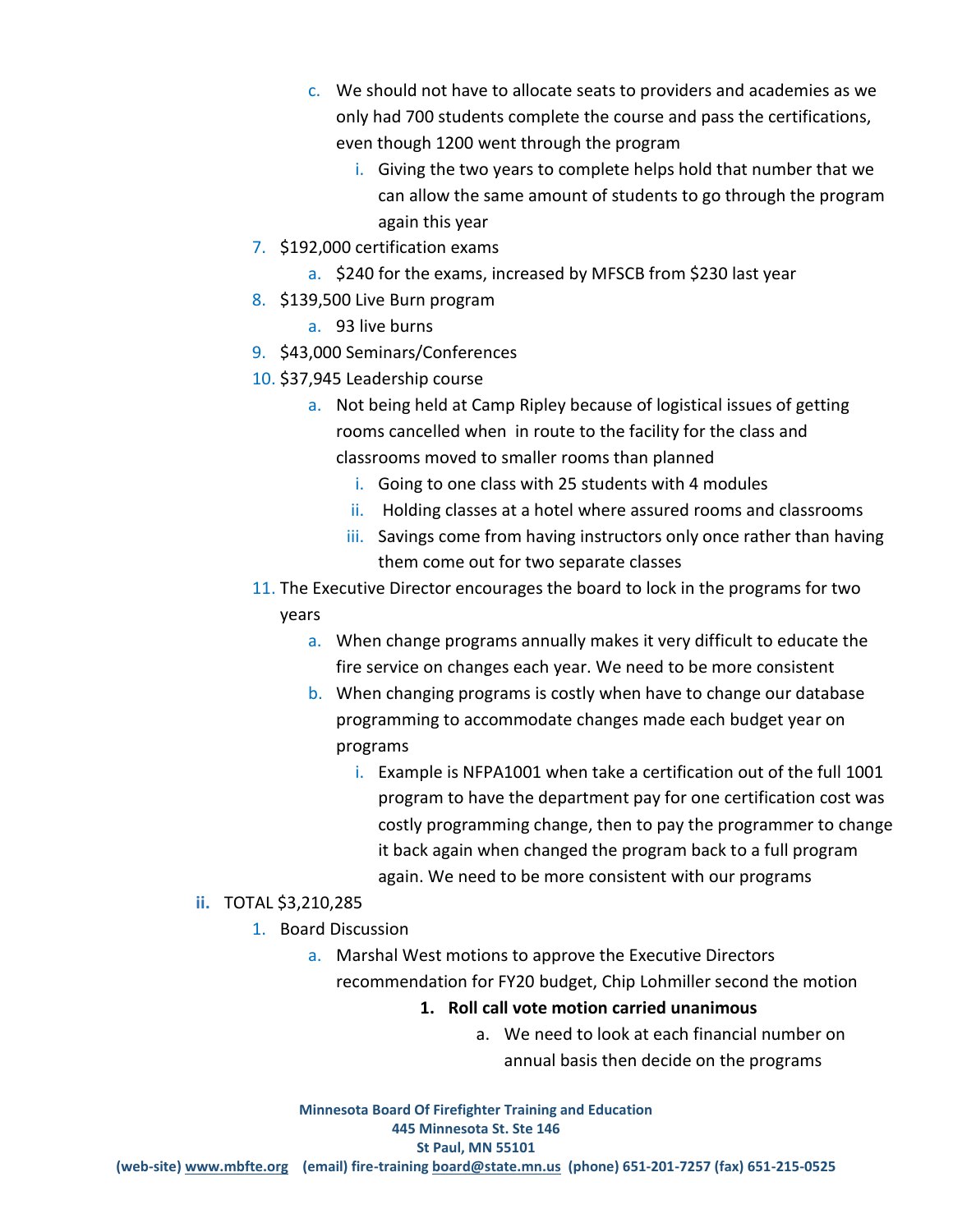- c. We should not have to allocate seats to providers and academies as we only had 700 students complete the course and pass the certifications, even though 1200 went through the program
	- i. Giving the two years to complete helps hold that number that we can allow the same amount of students to go through the program again this year
- 7. \$192,000 certification exams
	- a. \$240 for the exams, increased by MFSCB from \$230 last year
- 8. \$139,500 Live Burn program
	- a. 93 live burns
- 9. \$43,000 Seminars/Conferences
- 10. \$37,945 Leadership course
	- a. Not being held at Camp Ripley because of logistical issues of getting rooms cancelled when in route to the facility for the class and classrooms moved to smaller rooms than planned
		- i. Going to one class with 25 students with 4 modules
		- ii. Holding classes at a hotel where assured rooms and classrooms
		- iii. Savings come from having instructors only once rather than having them come out for two separate classes
- 11. The Executive Director encourages the board to lock in the programs for two years
	- a. When change programs annually makes it very difficult to educate the fire service on changes each year. We need to be more consistent
	- b. When changing programs is costly when have to change our database programming to accommodate changes made each budget year on programs
		- i. Example is NFPA1001 when take a certification out of the full 1001 program to have the department pay for one certification cost was costly programming change, then to pay the programmer to change it back again when changed the program back to a full program again. We need to be more consistent with our programs
- **ii.** TOTAL \$3,210,285
	- 1. Board Discussion
		- a. Marshal West motions to approve the Executive Directors recommendation for FY20 budget, Chip Lohmiller second the motion
			- **1. Roll call vote motion carried unanimous** 
				- a. We need to look at each financial number on annual basis then decide on the programs